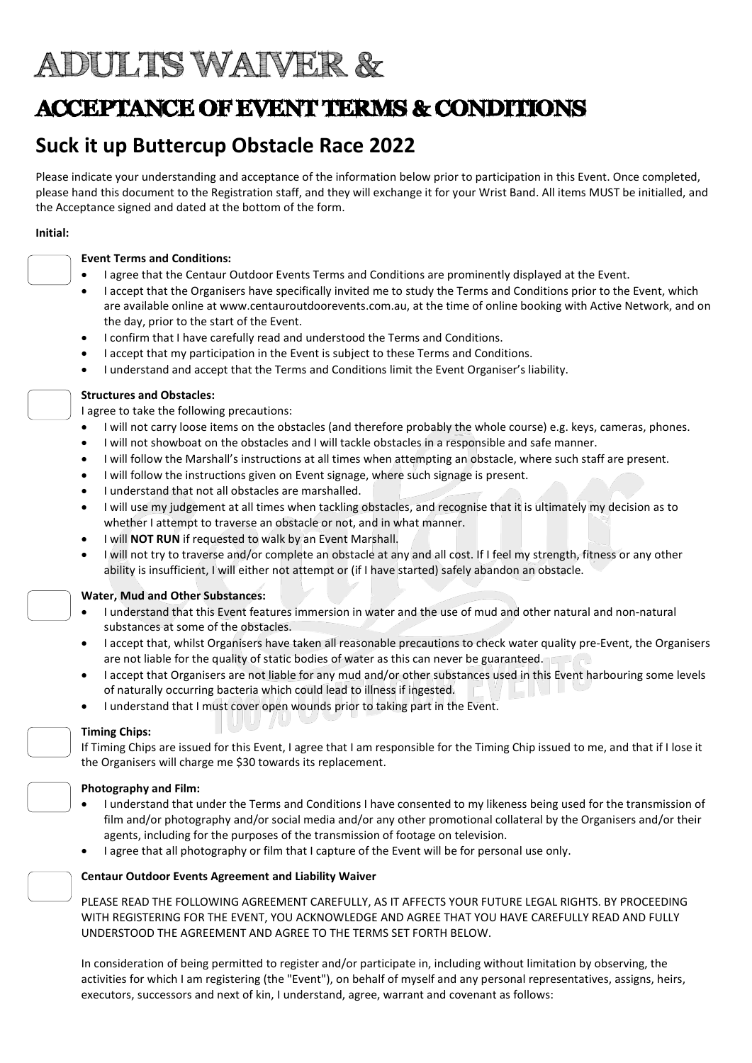# ADULTS WAIVER &

# ACCEPTANCE OF EVENT TERMS & CONDITIONS

# Suck it up Buttercup Obstacle Race 2022

Please indicate your understanding and acceptance of the information below prior to participation in this Event. Once completed, please hand this document to the Registration staff, and they will exchange it for your Wrist Band. All items MUST be initialled, and the Acceptance signed and dated at the bottom of the form.

#### Initial:



### Event Terms and Conditions:

- I agree that the Centaur Outdoor Events Terms and Conditions are prominently displayed at the Event.
- I accept that the Organisers have specifically invited me to study the Terms and Conditions prior to the Event, which are available online at www.centauroutdoorevents.com.au, at the time of online booking with Active Network, and on the day, prior to the start of the Event.
- I confirm that I have carefully read and understood the Terms and Conditions.
- I accept that my participation in the Event is subject to these Terms and Conditions.
- I understand and accept that the Terms and Conditions limit the Event Organiser's liability.

## Structures and Obstacles:

I agree to take the following precautions:

- I will not carry loose items on the obstacles (and therefore probably the whole course) e.g. keys, cameras, phones.
- I will not showboat on the obstacles and I will tackle obstacles in a responsible and safe manner.
- I will follow the Marshall's instructions at all times when attempting an obstacle, where such staff are present.
- I will follow the instructions given on Event signage, where such signage is present.
- I understand that not all obstacles are marshalled.
- I will use my judgement at all times when tackling obstacles, and recognise that it is ultimately my decision as to whether I attempt to traverse an obstacle or not, and in what manner.
- I will NOT RUN if requested to walk by an Event Marshall.
- I will not try to traverse and/or complete an obstacle at any and all cost. If I feel my strength, fitness or any other ability is insufficient, I will either not attempt or (if I have started) safely abandon an obstacle.

## Water, Mud and Other Substances:

- I understand that this Event features immersion in water and the use of mud and other natural and non-natural substances at some of the obstacles.
- I accept that, whilst Organisers have taken all reasonable precautions to check water quality pre-Event, the Organisers are not liable for the quality of static bodies of water as this can never be guaranteed.
- I accept that Organisers are not liable for any mud and/or other substances used in this Event harbouring some levels of naturally occurring bacteria which could lead to illness if ingested. an North Li
- I understand that I must cover open wounds prior to taking part in the Event.

#### Timing Chips:

If Timing Chips are issued for this Event, I agree that I am responsible for the Timing Chip issued to me, and that if I lose it the Organisers will charge me \$30 towards its replacement.

#### Photography and Film:

- I understand that under the Terms and Conditions I have consented to my likeness being used for the transmission of film and/or photography and/or social media and/or any other promotional collateral by the Organisers and/or their agents, including for the purposes of the transmission of footage on television.
- I agree that all photography or film that I capture of the Event will be for personal use only.

### Centaur Outdoor Events Agreement and Liability Waiver

PLEASE READ THE FOLLOWING AGREEMENT CAREFULLY, AS IT AFFECTS YOUR FUTURE LEGAL RIGHTS. BY PROCEEDING WITH REGISTERING FOR THE EVENT, YOU ACKNOWLEDGE AND AGREE THAT YOU HAVE CAREFULLY READ AND FULLY UNDERSTOOD THE AGREEMENT AND AGREE TO THE TERMS SET FORTH BELOW.

In consideration of being permitted to register and/or participate in, including without limitation by observing, the activities for which I am registering (the "Event"), on behalf of myself and any personal representatives, assigns, heirs, executors, successors and next of kin, I understand, agree, warrant and covenant as follows: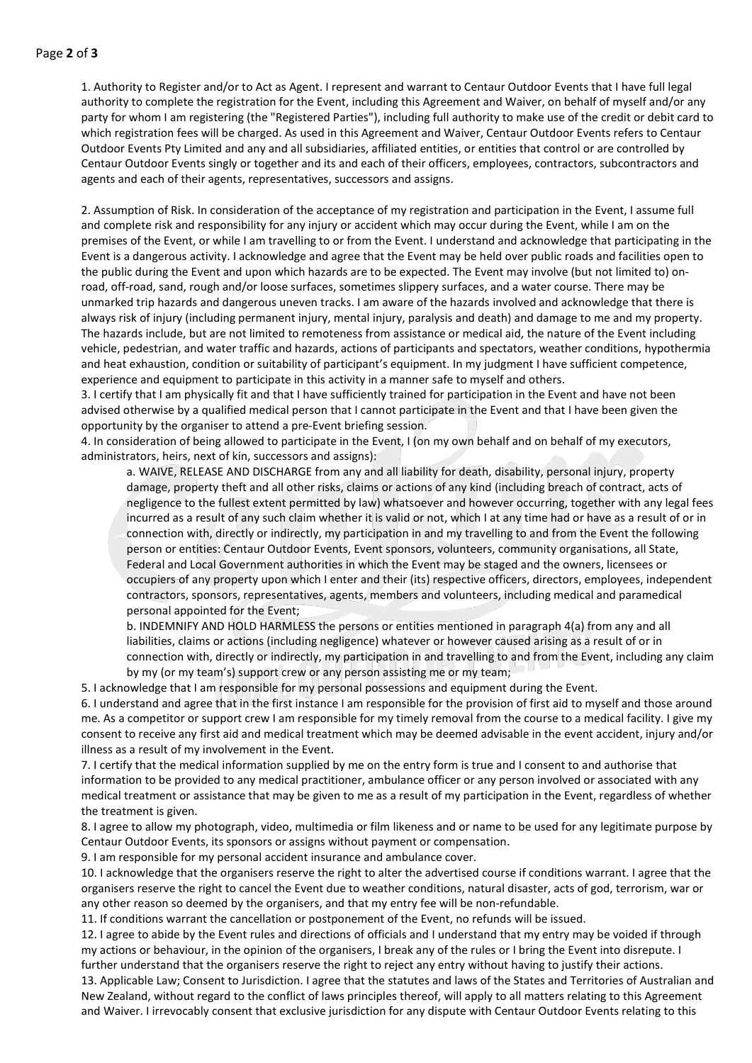#### Page 2 of 3

1. Authority to Register and/or to Act as Agent. I represent and warrant to Centaur Outdoor Events that I have full legal authority to complete the registration for the Event, including this Agreement and Waiver, on behalf of myself and/or any party for whom I am registering (the "Registered Parties"), including full authority to make use of the credit or debit card to which registration fees will be charged. As used in this Agreement and Waiver, Centaur Outdoor Events refers to Centaur Outdoor Events Pty Limited and any and all subsidiaries, affiliated entities, or entities that control or are controlled by Centaur Outdoor Events singly or together and its and each of their officers, employees, contractors, subcontractors and agents and each of their agents, representatives, successors and assigns.

2. Assumption of Risk. In consideration of the acceptance of my registration and participation in the Event, I assume full and complete risk and responsibility for any injury or accident which may occur during the Event, while I am on the premises of the Event, or while I am travelling to or from the Event. I understand and acknowledge that participating in the Event is a dangerous activity. I acknowledge and agree that the Event may be held over public roads and facilities open to the public during the Event and upon which hazards are to be expected. The Event may involve (but not limited to) onroad, off-road, sand, rough and/or loose surfaces, sometimes slippery surfaces, and a water course. There may be unmarked trip hazards and dangerous uneven tracks. I am aware of the hazards involved and acknowledge that there is always risk of injury (including permanent injury, mental injury, paralysis and death) and damage to me and my property. The hazards include, but are not limited to remoteness from assistance or medical aid, the nature of the Event including vehicle, pedestrian, and water traffic and hazards, actions of participants and spectators, weather conditions, hypothermia and heat exhaustion, condition or suitability of participant's equipment. In my judgment I have sufficient competence, experience and equipment to participate in this activity in a manner safe to myself and others.

3. I certify that I am physically fit and that I have sufficiently trained for participation in the Event and have not been advised otherwise by a qualified medical person that I cannot participate in the Event and that I have been given the opportunity by the organiser to attend a pre-Event briefing session.

4. In consideration of being allowed to participate in the Event, I (on my own behalf and on behalf of my executors, administrators, heirs, next of kin, successors and assigns):

a. WAIVE, RELEASE AND DISCHARGE from any and all liability for death, disability, personal injury, property damage, property theft and all other risks, claims or actions of any kind (including breach of contract, acts of negligence to the fullest extent permitted by law) whatsoever and however occurring, together with any legal fees incurred as a result of any such claim whether it is valid or not, which I at any time had or have as a result of or in connection with, directly or indirectly, my participation in and my travelling to and from the Event the following person or entities: Centaur Outdoor Events, Event sponsors, volunteers, community organisations, all State, Federal and Local Government authorities in which the Event may be staged and the owners, licensees or occupiers of any property upon which I enter and their (its) respective officers, directors, employees, independent contractors, sponsors, representatives, agents, members and volunteers, including medical and paramedical personal appointed for the Event;

b. INDEMNIFY AND HOLD HARMLESS the persons or entities mentioned in paragraph 4(a) from any and all liabilities, claims or actions (including negligence) whatever or however caused arising as a result of or in connection with, directly or indirectly, my participation in and travelling to and from the Event, including any claim by my (or my team's) support crew or any person assisting me or my team;

5. I acknowledge that I am responsible for my personal possessions and equipment during the Event.

6. I understand and agree that in the first instance I am responsible for the provision of first aid to myself and those around me. As a competitor or support crew I am responsible for my timely removal from the course to a medical facility. I give my consent to receive any first aid and medical treatment which may be deemed advisable in the event accident, injury and/or illness as a result of my involvement in the Event.

7. I certify that the medical information supplied by me on the entry form is true and I consent to and authorise that information to be provided to any medical practitioner, ambulance officer or any person involved or associated with any medical treatment or assistance that may be given to me as a result of my participation in the Event, regardless of whether the treatment is given.

8. I agree to allow my photograph, video, multimedia or film likeness and or name to be used for any legitimate purpose by Centaur Outdoor Events, its sponsors or assigns without payment or compensation.

9. I am responsible for my personal accident insurance and ambulance cover.

10. I acknowledge that the organisers reserve the right to alter the advertised course if conditions warrant. I agree that the organisers reserve the right to cancel the Event due to weather conditions, natural disaster, acts of god, terrorism, war or any other reason so deemed by the organisers, and that my entry fee will be non-refundable.

11. If conditions warrant the cancellation or postponement of the Event, no refunds will be issued.

12. I agree to abide by the Event rules and directions of officials and I understand that my entry may be voided if through my actions or behaviour, in the opinion of the organisers, I break any of the rules or I bring the Event into disrepute. I further understand that the organisers reserve the right to reject any entry without having to justify their actions.

13. Applicable Law; Consent to Jurisdiction. I agree that the statutes and laws of the States and Territories of Australian and New Zealand, without regard to the conflict of laws principles thereof, will apply to all matters relating to this Agreement and Waiver. I irrevocably consent that exclusive jurisdiction for any dispute with Centaur Outdoor Events relating to this